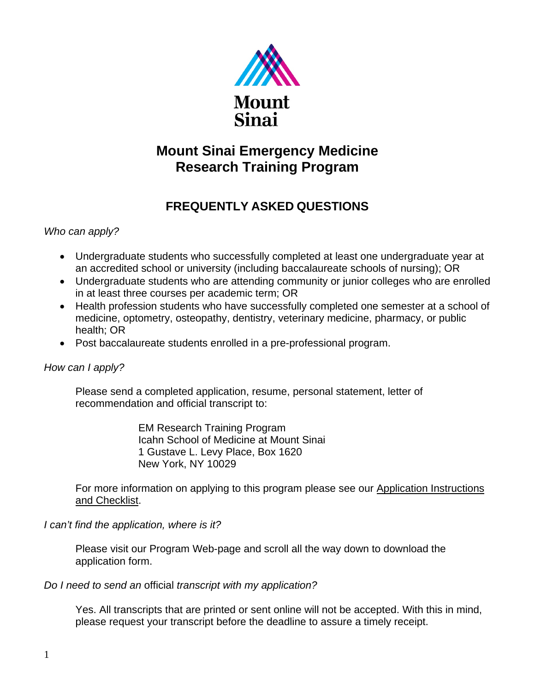

# **Mount Sinai Emergency Medicine Research Training Program**

## **FREQUENTLY ASKED QUESTIONS**

## *Who can apply?*

- Undergraduate students who successfully completed at least one undergraduate year at an accredited school or university (including baccalaureate schools of nursing); OR
- Undergraduate students who are attending community or junior colleges who are enrolled in at least three courses per academic term; OR
- Health profession students who have successfully completed one semester at a school of medicine, optometry, osteopathy, dentistry, veterinary medicine, pharmacy, or public health; OR
- Post baccalaureate students enrolled in a pre-professional program.

## *How can I apply?*

Please send a completed application, resume, personal statement, letter of recommendation and official transcript to:

> EM Research Training Program Icahn School of Medicine at Mount Sinai 1 Gustave L. Levy Place, Box 1620 New York, NY 10029

For more information on applying to this program please see our Application Instructions and Checklist.

*I can't find the application, where is it?*

Please visit our Program Web-page and scroll all the way down to download the application form.

## *Do I need to send an* official *transcript with my application?*

Yes. All transcripts that are printed or sent online will not be accepted. With this in mind, please request your transcript before the deadline to assure a timely receipt.